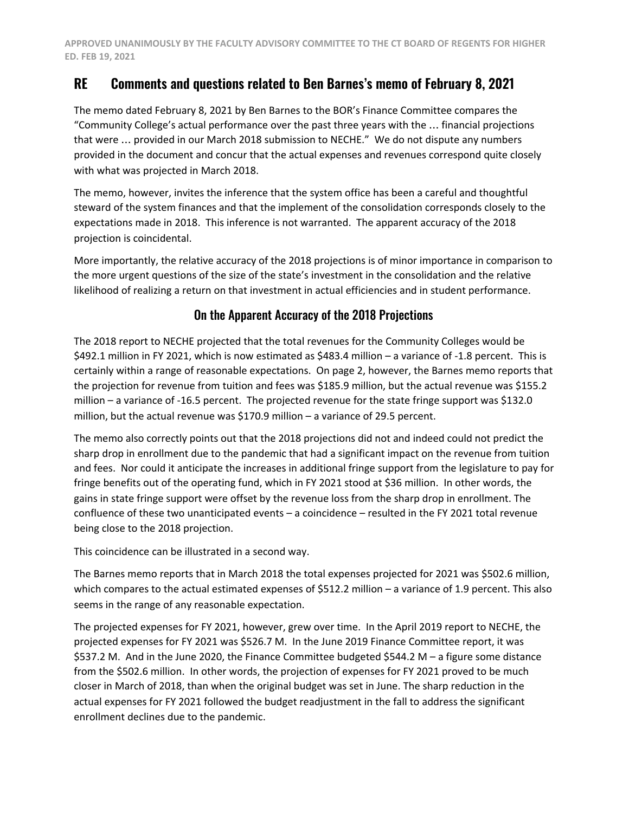## **RE Comments and questions related to Ben Barnes's memo of February 8, 2021**

The memo dated February 8, 2021 by Ben Barnes to the BOR's Finance Committee compares the "Community College's actual performance over the past three years with the … financial projections that were … provided in our March 2018 submission to NECHE." We do not dispute any numbers provided in the document and concur that the actual expenses and revenues correspond quite closely with what was projected in March 2018.

The memo, however, invites the inference that the system office has been a careful and thoughtful steward of the system finances and that the implement of the consolidation corresponds closely to the expectations made in 2018. This inference is not warranted. The apparent accuracy of the 2018 projection is coincidental.

More importantly, the relative accuracy of the 2018 projections is of minor importance in comparison to the more urgent questions of the size of the state's investment in the consolidation and the relative likelihood of realizing a return on that investment in actual efficiencies and in student performance.

## On the Apparent Accuracy of the 2018 Projections

The 2018 report to NECHE projected that the total revenues for the Community Colleges would be \$492.1 million in FY 2021, which is now estimated as \$483.4 million – a variance of -1.8 percent. This is certainly within a range of reasonable expectations. On page 2, however, the Barnes memo reports that the projection for revenue from tuition and fees was \$185.9 million, but the actual revenue was \$155.2 million – a variance of -16.5 percent. The projected revenue for the state fringe support was \$132.0 million, but the actual revenue was \$170.9 million – a variance of 29.5 percent.

The memo also correctly points out that the 2018 projections did not and indeed could not predict the sharp drop in enrollment due to the pandemic that had a significant impact on the revenue from tuition and fees. Nor could it anticipate the increases in additional fringe support from the legislature to pay for fringe benefits out of the operating fund, which in FY 2021 stood at \$36 million. In other words, the gains in state fringe support were offset by the revenue loss from the sharp drop in enrollment. The confluence of these two unanticipated events – a coincidence – resulted in the FY 2021 total revenue being close to the 2018 projection.

This coincidence can be illustrated in a second way.

The Barnes memo reports that in March 2018 the total expenses projected for 2021 was \$502.6 million, which compares to the actual estimated expenses of \$512.2 million – a variance of 1.9 percent. This also seems in the range of any reasonable expectation.

The projected expenses for FY 2021, however, grew over time. In the April 2019 report to NECHE, the projected expenses for FY 2021 was \$526.7 M. In the June 2019 Finance Committee report, it was \$537.2 M. And in the June 2020, the Finance Committee budgeted \$544.2 M – a figure some distance from the \$502.6 million. In other words, the projection of expenses for FY 2021 proved to be much closer in March of 2018, than when the original budget was set in June. The sharp reduction in the actual expenses for FY 2021 followed the budget readjustment in the fall to address the significant enrollment declines due to the pandemic.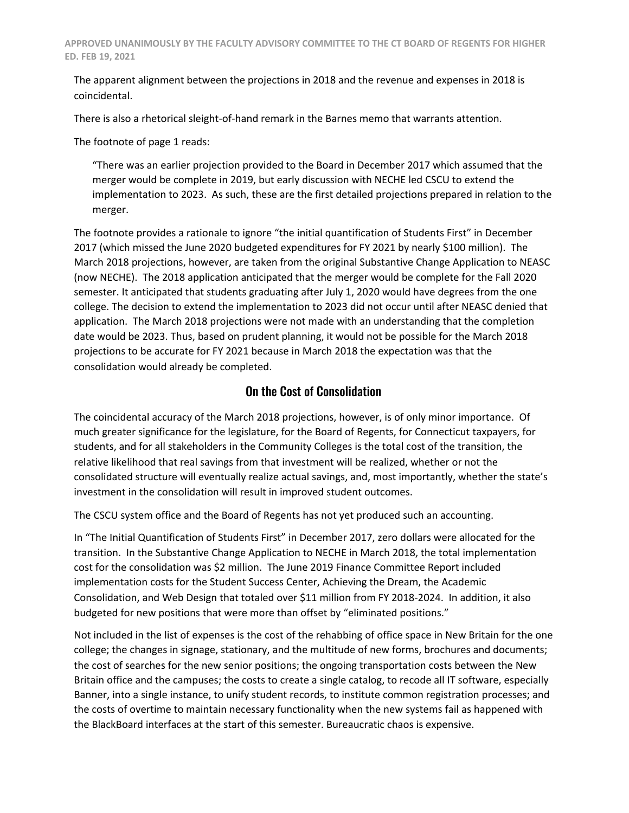The apparent alignment between the projections in 2018 and the revenue and expenses in 2018 is coincidental.

There is also a rhetorical sleight-of-hand remark in the Barnes memo that warrants attention.

The footnote of page 1 reads:

"There was an earlier projection provided to the Board in December 2017 which assumed that the merger would be complete in 2019, but early discussion with NECHE led CSCU to extend the implementation to 2023. As such, these are the first detailed projections prepared in relation to the merger.

The footnote provides a rationale to ignore "the initial quantification of Students First" in December 2017 (which missed the June 2020 budgeted expenditures for FY 2021 by nearly \$100 million). The March 2018 projections, however, are taken from the original Substantive Change Application to NEASC (now NECHE). The 2018 application anticipated that the merger would be complete for the Fall 2020 semester. It anticipated that students graduating after July 1, 2020 would have degrees from the one college. The decision to extend the implementation to 2023 did not occur until after NEASC denied that application. The March 2018 projections were not made with an understanding that the completion date would be 2023. Thus, based on prudent planning, it would not be possible for the March 2018 projections to be accurate for FY 2021 because in March 2018 the expectation was that the consolidation would already be completed.

## On the Cost of Consolidation

The coincidental accuracy of the March 2018 projections, however, is of only minor importance. Of much greater significance for the legislature, for the Board of Regents, for Connecticut taxpayers, for students, and for all stakeholders in the Community Colleges is the total cost of the transition, the relative likelihood that real savings from that investment will be realized, whether or not the consolidated structure will eventually realize actual savings, and, most importantly, whether the state's investment in the consolidation will result in improved student outcomes.

The CSCU system office and the Board of Regents has not yet produced such an accounting.

In "The Initial Quantification of Students First" in December 2017, zero dollars were allocated for the transition. In the Substantive Change Application to NECHE in March 2018, the total implementation cost for the consolidation was \$2 million. The June 2019 Finance Committee Report included implementation costs for the Student Success Center, Achieving the Dream, the Academic Consolidation, and Web Design that totaled over \$11 million from FY 2018-2024. In addition, it also budgeted for new positions that were more than offset by "eliminated positions."

Not included in the list of expenses is the cost of the rehabbing of office space in New Britain for the one college; the changes in signage, stationary, and the multitude of new forms, brochures and documents; the cost of searches for the new senior positions; the ongoing transportation costs between the New Britain office and the campuses; the costs to create a single catalog, to recode all IT software, especially Banner, into a single instance, to unify student records, to institute common registration processes; and the costs of overtime to maintain necessary functionality when the new systems fail as happened with the BlackBoard interfaces at the start of this semester. Bureaucratic chaos is expensive.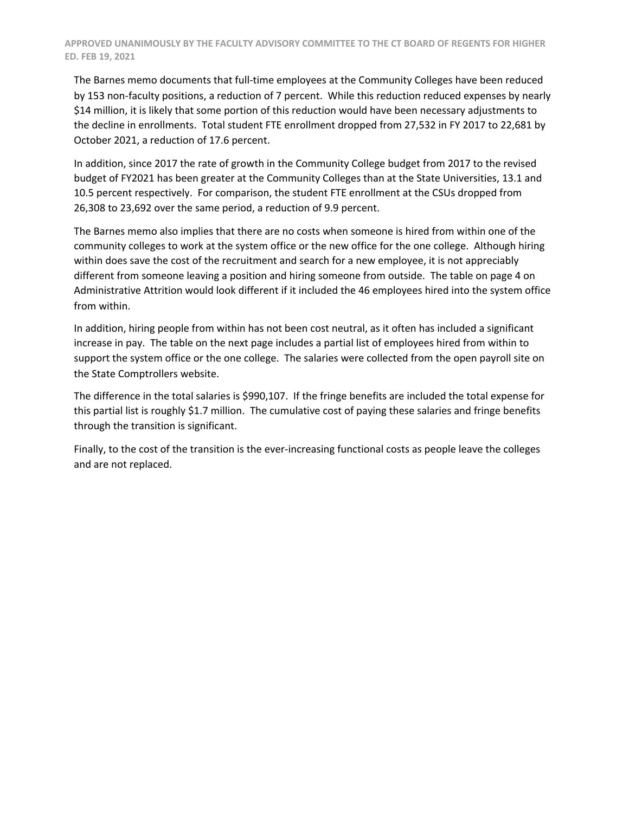The Barnes memo documents that full-time employees at the Community Colleges have been reduced by 153 non-faculty positions, a reduction of 7 percent. While this reduction reduced expenses by nearly \$14 million, it is likely that some portion of this reduction would have been necessary adjustments to the decline in enrollments. Total student FTE enrollment dropped from 27,532 in FY 2017 to 22,681 by October 2021, a reduction of 17.6 percent.

In addition, since 2017 the rate of growth in the Community College budget from 2017 to the revised budget of FY2021 has been greater at the Community Colleges than at the State Universities, 13.1 and 10.5 percent respectively. For comparison, the student FTE enrollment at the CSUs dropped from 26,308 to 23,692 over the same period, a reduction of 9.9 percent.

The Barnes memo also implies that there are no costs when someone is hired from within one of the community colleges to work at the system office or the new office for the one college. Although hiring within does save the cost of the recruitment and search for a new employee, it is not appreciably different from someone leaving a position and hiring someone from outside. The table on page 4 on Administrative Attrition would look different if it included the 46 employees hired into the system office from within.

In addition, hiring people from within has not been cost neutral, as it often has included a significant increase in pay. The table on the next page includes a partial list of employees hired from within to support the system office or the one college. The salaries were collected from the open payroll site on the State Comptrollers website.

The difference in the total salaries is \$990,107. If the fringe benefits are included the total expense for this partial list is roughly \$1.7 million. The cumulative cost of paying these salaries and fringe benefits through the transition is significant.

Finally, to the cost of the transition is the ever-increasing functional costs as people leave the colleges and are not replaced.